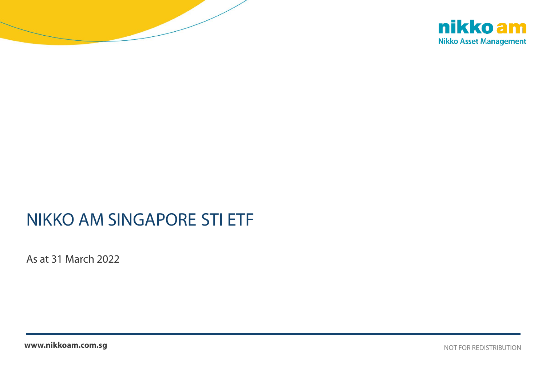



# NIKKO AM SINGAPORE STI ETF

As at 31 March 2022

**www.nikkoam.com.sg** Not the Manual League of the Manual League of the Notation of the Redistribution of  $\sim$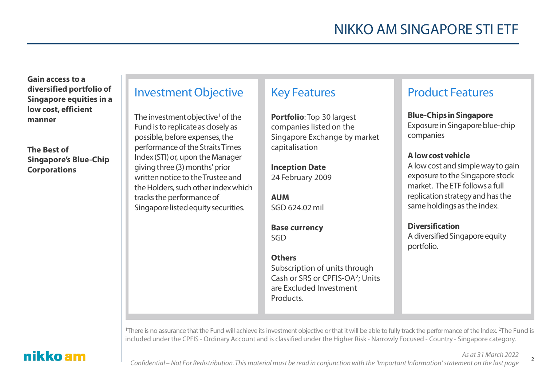**Gain access to a diversified portfolio of Singapore equities in a low cost, efficient manner**

**The Best of Singapore's Blue-Chip Corporations**

#### Investment Objective

The investment objective<sup>1</sup> of the Fund is to replicate as closely as possible, before expenses, the performance of the Straits Times Index (STI) or, upon the Manager giving three (3) months' prior written notice to the Trustee and the Holders, such other index which tracks the performance of Singapore listed equity securities.

#### Key Features

**Portfolio**: Top 30 largest companies listed on the Singapore Exchange by market capitalisation

**Inception Date** 24 February 2009

**AUM** SGD 624.02 mil

**Base currency** SGD

#### **Others** Subscription of units through Cash or SRS or CPFIS-OA2; Units are Excluded Investment Products.

#### Product Features

**Blue-Chips in Singapore** Exposure in Singapore blue-chip companies

**A low cost vehicle**

A low cost and simple way to gain exposure to the Singapore stock market. The ETF follows a full replication strategy and has the same holdings as the index.

**Diversification** A diversified Singapore equity portfolio.

<sup>1</sup>There is no assurance that the Fund will achieve its investment objective or that it will be able to fully track the performance of the Index. <sup>2</sup>The Fund is included under the CPFIS - Ordinary Account and is classified under the Higher Risk - Narrowly Focused - Country - Singapore category.

### nikko am

*As at 31 March 2022*

 $\mathfrak{Z}$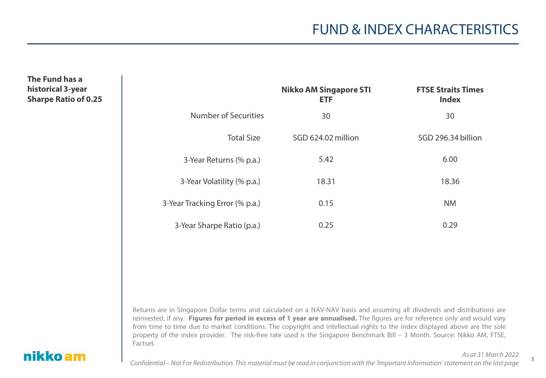### FUND & INDEX CHARACTERISTICS

**FTSE Straits Times** 

#### **The Fund has a historical 3-year Sharpe Ratio of 0.25**

|                                | <b>NINNU AM SHIYAPULE STI</b><br><b>ETF</b> | гтэн энднэ типез<br><b>Index</b> |
|--------------------------------|---------------------------------------------|----------------------------------|
| Number of Securities           | 30                                          | 30                               |
| <b>Total Size</b>              | SGD 624.02 million                          | SGD 296.34 billion               |
| 3-Year Returns (% p.a.)        | 5.42                                        | 6.00                             |
| 3-Year Volatility (% p.a.)     | 18.31                                       | 18.36                            |
| 3-Year Tracking Error (% p.a.) | 0.15                                        | <b>NM</b>                        |
| 3-Year Sharpe Ratio (p.a.)     | 0.25                                        | 0.29                             |

**Nikko AM Singapore STI** 

Returns are in Singapore Dollar terms and calculated on a NAV-NAV basis and assuming all dividends and distributions are reinvested, if any. **Figures for period in excess of 1 year are annualised.** The figures are for reference only and would vary from time to time due to market conditions. The copyright and intellectual rights to the index displayed above are the sole property of the index provider. The risk-free rate used is the Singapore Benchmark Bill – 3 Month. Source: Nikko AM, FTSE, Factset.

#### nikko am

*As at 31 March 2022*

3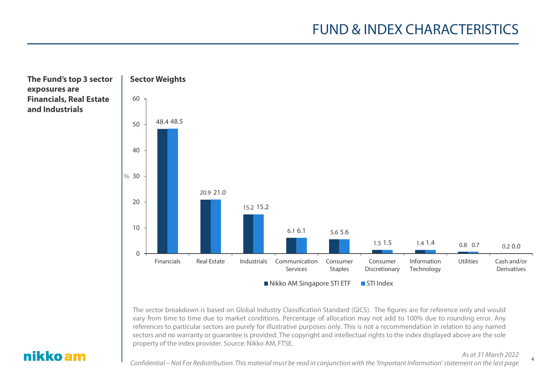### FUND & INDEX CHARACTERISTICS



The sector breakdown is based on Global Industry Classification Standard (GICS). The figures are for reference only and would vary from time to time due to market conditions. Percentage of allocation may not add to 100% due to rounding error. Any references to particular sectors are purely for illustrative purposes only. This is not a recommendation in relation to any named sectors and no warranty or guarantee is provided. The copyright and intellectual rights to the index displayed above are the sole property of the index provider. Source: Nikko AM, FTSE.

### nikko am

*As at 31 March 2022*

4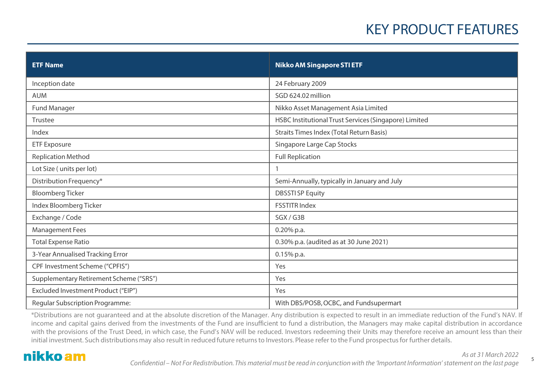## KEY PRODUCT FEATURES

| <b>ETF Name</b>                         | Nikko AM Singapore STI ETF                            |
|-----------------------------------------|-------------------------------------------------------|
| Inception date                          | 24 February 2009                                      |
| <b>AUM</b>                              | SGD 624.02 million                                    |
| Fund Manager                            | Nikko Asset Management Asia Limited                   |
| Trustee                                 | HSBC Institutional Trust Services (Singapore) Limited |
| Index                                   | <b>Straits Times Index (Total Return Basis)</b>       |
| <b>ETF Exposure</b>                     | Singapore Large Cap Stocks                            |
| <b>Replication Method</b>               | <b>Full Replication</b>                               |
| Lot Size (units per lot)                | $\mathbf{1}$                                          |
| Distribution Frequency*                 | Semi-Annually, typically in January and July          |
| <b>Bloomberg Ticker</b>                 | <b>DBSSTISP Equity</b>                                |
| Index Bloomberg Ticker                  | <b>FSSTITR Index</b>                                  |
| Exchange / Code                         | SGX/G3B                                               |
| <b>Management Fees</b>                  | $0.20\%$ p.a.                                         |
| <b>Total Expense Ratio</b>              | 0.30% p.a. (audited as at 30 June 2021)               |
| 3-Year Annualised Tracking Error        | 0.15% p.a.                                            |
| CPF Investment Scheme ("CPFIS")         | Yes                                                   |
| Supplementary Retirement Scheme ("SRS") | Yes                                                   |
| Excluded Investment Product ("EIP")     | Yes                                                   |
| <b>Regular Subscription Programme:</b>  | With DBS/POSB, OCBC, and Fundsupermart                |

\*Distributions are not guaranteed and at the absolute discretion of the Manager. Any distribution is expected to result in an immediate reduction of the Fund's NAV. If income and capital gains derived from the investments of the Fund are insufficient to fund a distribution, the Managers may make capital distribution in accordance with the provisions of the Trust Deed, in which case, the Fund's NAV will be reduced. Investors redeeming their Units may therefore receive an amount less than their initial investment. Such distributions may also result in reduced future returns to Investors. Please refer to the Fund prospectus for further details.

### nikko am

*As at 31 March 2022*

5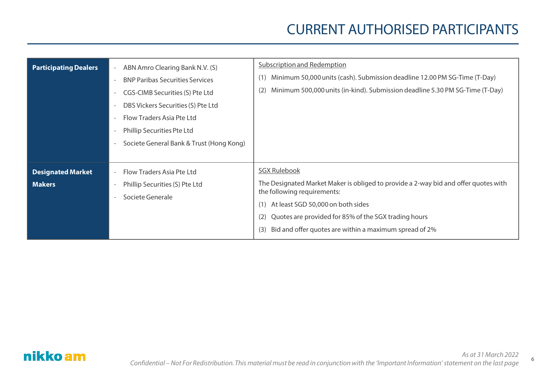## CURRENT AUTHORISED PARTICIPANTS

6

| <b>Participating Dealers</b>              | ABN Amro Clearing Bank N.V. (S)<br>$ \,$<br><b>BNP Paribas Securities Services</b><br>CGS-CIMB Securities (S) Pte Ltd<br>DBS Vickers Securities (S) Pte Ltd<br>Flow Traders Asia Pte Ltd<br>Phillip Securities Pte Ltd<br>Societe General Bank & Trust (Hong Kong) | <b>Subscription and Redemption</b><br>Minimum 50,000 units (cash). Submission deadline 12.00 PM SG-Time (T-Day)<br>(1)<br>Minimum 500,000 units (in-kind). Submission deadline 5.30 PM SG-Time (T-Day)<br>(2)                                                                                                         |
|-------------------------------------------|--------------------------------------------------------------------------------------------------------------------------------------------------------------------------------------------------------------------------------------------------------------------|-----------------------------------------------------------------------------------------------------------------------------------------------------------------------------------------------------------------------------------------------------------------------------------------------------------------------|
| <b>Designated Market</b><br><b>Makers</b> | Flow Traders Asia Pte Ltd<br>Phillip Securities (S) Pte Ltd<br>Societe Generale                                                                                                                                                                                    | <b>SGX Rulebook</b><br>The Designated Market Maker is obliged to provide a 2-way bid and offer quotes with<br>the following requirements:<br>At least SGD 50,000 on both sides<br>(1)<br>Quotes are provided for 85% of the SGX trading hours<br>(2)<br>Bid and offer quotes are within a maximum spread of 2%<br>(3) |